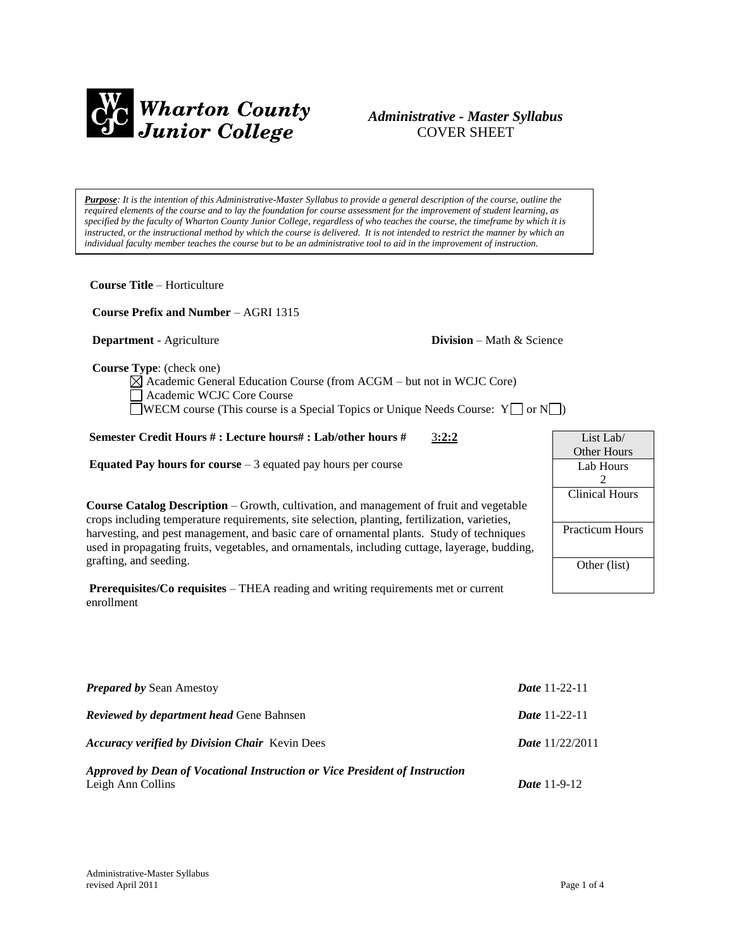

# *Administrative - Master Syllabus*  COVER SHEET

*Purpose: It is the intention of this Administrative-Master Syllabus to provide a general description of the course, outline the required elements of the course and to lay the foundation for course assessment for the improvement of student learning, as specified by the faculty of Wharton County Junior College, regardless of who teaches the course, the timeframe by which it is instructed, or the instructional method by which the course is delivered. It is not intended to restrict the manner by which an individual faculty member teaches the course but to be an administrative tool to aid in the improvement of instruction.*

**Course Title** – Horticulture

 **Course Prefix and Number** – AGRI 1315

**Department** - Agriculture **Division** – Math & Science

 **Course Type**: (check one)

 $\boxtimes$  Academic General Education Course (from ACGM – but not in WCJC Core) Academic WCJC Core Course WECM course (This course is a Special Topics or Unique Needs Course:  $Y \Box$  or  $N \Box$ )

# **Semester Credit Hours # : Lecture hours# : Lab/other hours #** 3**:2:2**

**Equated Pay hours for course** – 3 equated pay hours per course

**Course Catalog Description** – Growth, cultivation, and management of fruit and vegetable crops including temperature requirements, site selection, planting, fertilization, varieties, harvesting, and pest management, and basic care of ornamental plants. Study of techniques used in propagating fruits, vegetables, and ornamentals, including cuttage, layerage, budding, grafting, and seeding.

**Prerequisites/Co requisites** – THEA reading and writing requirements met or current enrollment

| List Lab/              |
|------------------------|
| Other Hours            |
| Lab Hours              |
| 2                      |
| <b>Clinical Hours</b>  |
|                        |
| <b>Practicum Hours</b> |
|                        |
| Other (list)           |
|                        |
|                        |

| <b>Prepared by Sean Amestoy</b>                                                                  | <b>Date</b> 11-22-11     |
|--------------------------------------------------------------------------------------------------|--------------------------|
| <b>Reviewed by department head Gene Bahnsen</b>                                                  | <b>Date</b> 11-22-11     |
| <b>Accuracy verified by Division Chair</b> Kevin Dees                                            | <b>Date</b> $11/22/2011$ |
| Approved by Dean of Vocational Instruction or Vice President of Instruction<br>Leigh Ann Collins | <i>Date</i> 11-9-12      |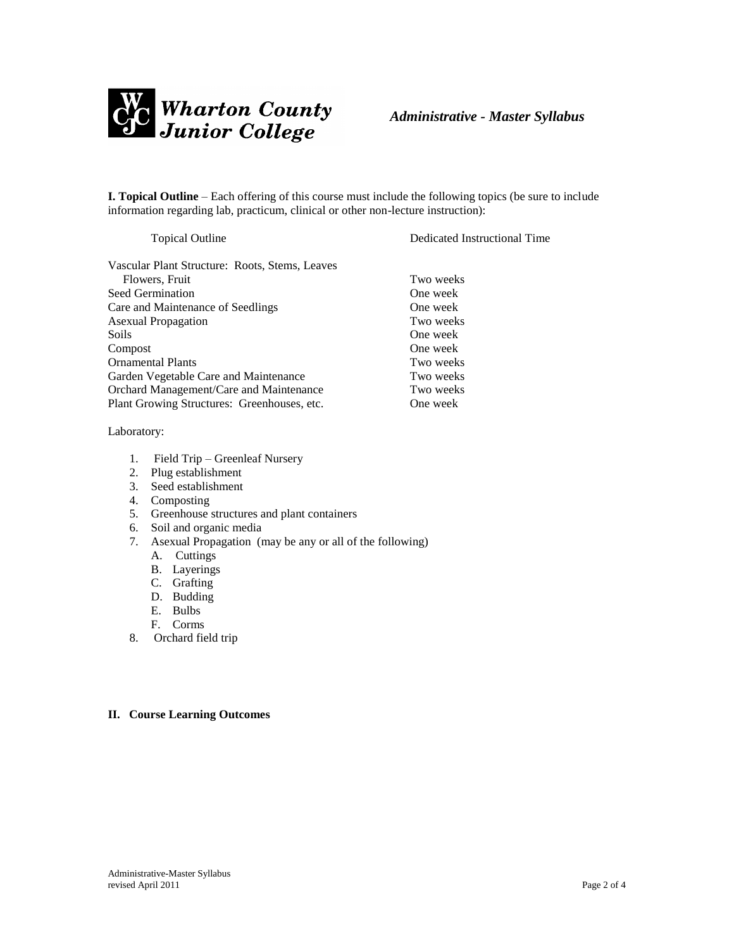

**I. Topical Outline** – Each offering of this course must include the following topics (be sure to include information regarding lab, practicum, clinical or other non-lecture instruction):

Vascular Plant Structure: Roots, Stems, Leaves Flowers, Fruit Two weeks Seed Germination **One** week Care and Maintenance of Seedlings One week Asexual Propagation Two weeks Soils One week Compost One week Ornamental Plants Two weeks Garden Vegetable Care and Maintenance Two weeks Orchard Management/Care and Maintenance Two weeks Plant Growing Structures: Greenhouses, etc. One week

#### Laboratory:

- 1. Field Trip Greenleaf Nursery
- 2. Plug establishment
- 3. Seed establishment
- 4. Composting
- 5. Greenhouse structures and plant containers
- 6. Soil and organic media
- 7. Asexual Propagation (may be any or all of the following)
	- A. Cuttings
	- B. Layerings
	- C. Grafting
	- D. Budding
	- E. Bulbs
	- F. Corms
- 8. Orchard field trip

# **II. Course Learning Outcomes**

Topical Outline Dedicated Instructional Time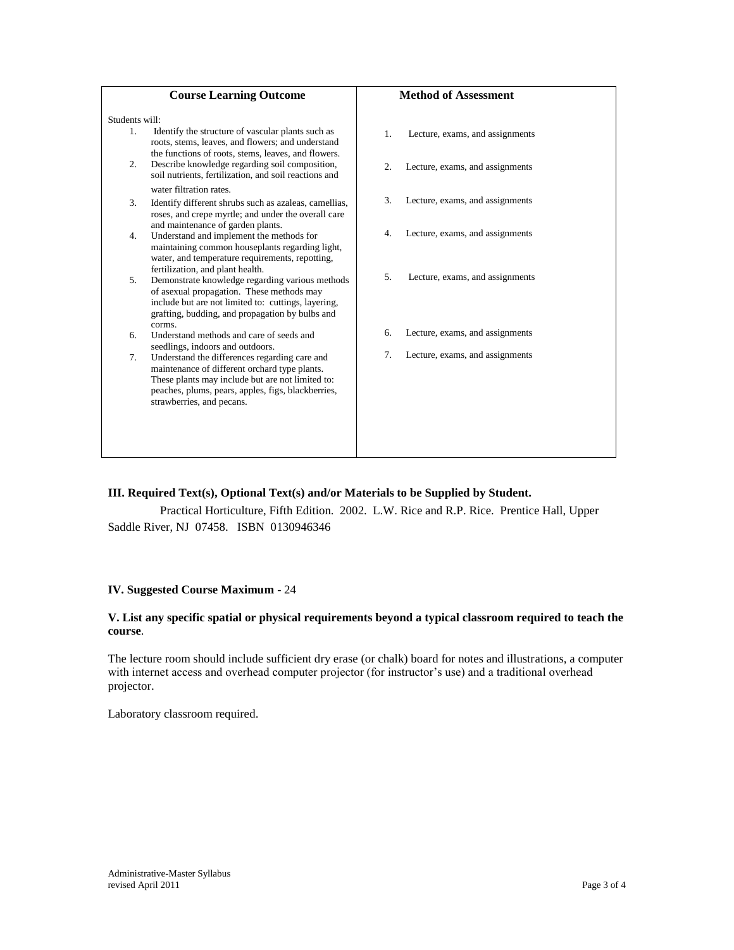| <b>Course Learning Outcome</b>                                                                                                                                                                                                                             | <b>Method of Assessment</b>                         |
|------------------------------------------------------------------------------------------------------------------------------------------------------------------------------------------------------------------------------------------------------------|-----------------------------------------------------|
| Students will:                                                                                                                                                                                                                                             |                                                     |
| Identify the structure of vascular plants such as<br>$\mathbf{1}$ .<br>roots, stems, leaves, and flowers; and understand<br>the functions of roots, stems, leaves, and flowers.                                                                            | 1.<br>Lecture, exams, and assignments               |
| Describe knowledge regarding soil composition,<br>2.<br>soil nutrients, fertilization, and soil reactions and                                                                                                                                              | $\overline{2}$ .<br>Lecture, exams, and assignments |
| water filtration rates.<br>3.<br>Identify different shrubs such as azaleas, camellias,<br>roses, and crepe myrtle; and under the overall care                                                                                                              | 3.<br>Lecture, exams, and assignments               |
| and maintenance of garden plants.<br>Understand and implement the methods for<br>4.<br>maintaining common houseplants regarding light,<br>water, and temperature requirements, repotting,                                                                  | Lecture, exams, and assignments<br>4.               |
| fertilization, and plant health.<br>Demonstrate knowledge regarding various methods<br>5.<br>of asexual propagation. These methods may<br>include but are not limited to: cuttings, layering,<br>grafting, budding, and propagation by bulbs and<br>corms. | 5.<br>Lecture, exams, and assignments               |
| Understand methods and care of seeds and<br>6.<br>seedlings, indoors and outdoors.                                                                                                                                                                         | Lecture, exams, and assignments<br>6.               |
| 7.<br>Understand the differences regarding care and<br>maintenance of different orchard type plants.<br>These plants may include but are not limited to:<br>peaches, plums, pears, apples, figs, blackberries,<br>strawberries, and pecans.                | 7.<br>Lecture, exams, and assignments               |

# **III. Required Text(s), Optional Text(s) and/or Materials to be Supplied by Student.**

Practical Horticulture, Fifth Edition. 2002. L.W. Rice and R.P. Rice. Prentice Hall, Upper Saddle River, NJ 07458. ISBN 0130946346

# **IV. Suggested Course Maximum** - 24

### **V. List any specific spatial or physical requirements beyond a typical classroom required to teach the course**.

The lecture room should include sufficient dry erase (or chalk) board for notes and illustrations, a computer with internet access and overhead computer projector (for instructor's use) and a traditional overhead projector.

Laboratory classroom required.